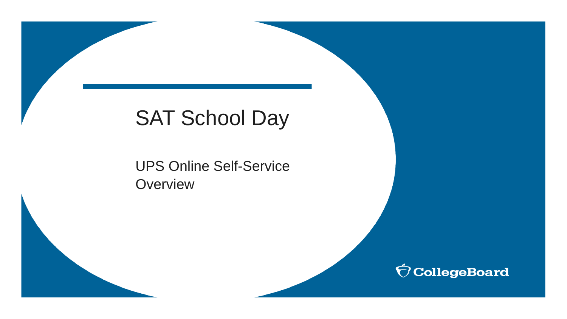# SAT School Day

UPS Online Self-Service **Overview** 

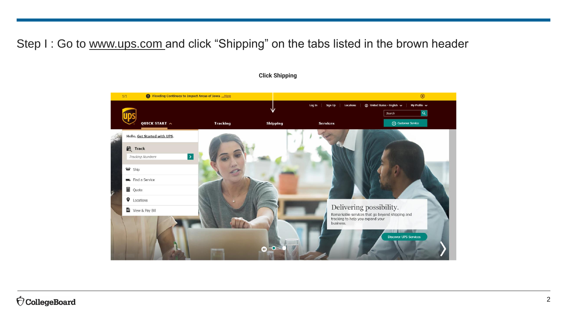## Step I: Go to [www.ups.com](http://www.ups.com/) and click "Shipping" on the tabs listed in the brown header



#### **Click Shipping**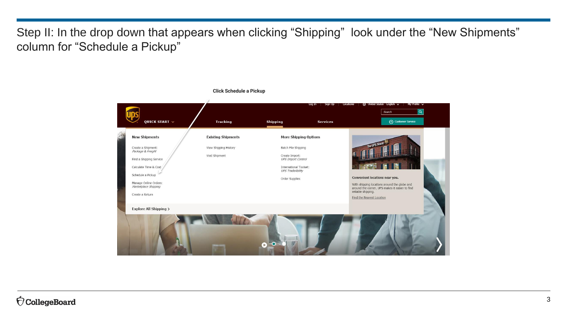Step II: In the drop down that appears when clicking "Shipping" look under the "New Shipments" column for "Schedule a Pickup"

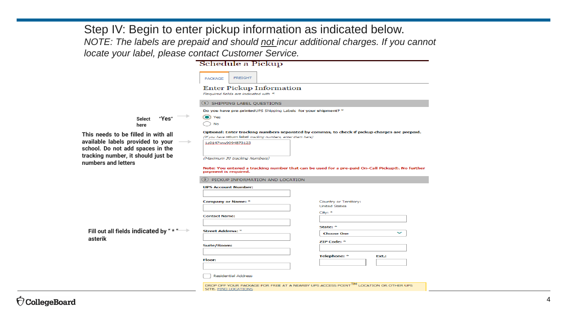Step IV: Begin to enter pickup information as indicated below. *NOTE: The labels are prepaid and should not incur additional charges. If you cannot locate your label, please contact Customer Service.*

|                                                                                                                               | Schedule a Pickup                                                                  |                                                                                                 |
|-------------------------------------------------------------------------------------------------------------------------------|------------------------------------------------------------------------------------|-------------------------------------------------------------------------------------------------|
|                                                                                                                               | <b>FREIGHT</b><br>PACKAGE                                                          |                                                                                                 |
|                                                                                                                               | <b>Enter Pickup Information</b><br>Required fields are indicated with *            |                                                                                                 |
|                                                                                                                               | 1) SHIPPING LABEL QUESTIONS                                                        |                                                                                                 |
|                                                                                                                               | Do you have pre-printedUPS Shipping Labels for your shipment? *                    |                                                                                                 |
| "Yes"<br>Select<br>here                                                                                                       | (C) Yes<br><b>No</b>                                                               |                                                                                                 |
| This needs to be filled in with all<br>available labels provided to your<br>$\rightarrow$<br>school. Do not add spaces in the | (If you have return label tracking numbers, enter them here)<br>1z0147ww9094873123 | Optional: Enter tracking numbers separated by commas, to check if pickup charges are prepaid.   |
| tracking number, it should just be<br>numbers and letters                                                                     | (Maximum 30 tracking Numbers)                                                      |                                                                                                 |
|                                                                                                                               | payment is required.                                                               | Note: You entered a tracking number that can be used for a pre-paid On-Call Pickup®. No further |
|                                                                                                                               | 2) PICKUP INFORMATION AND LOCATION                                                 |                                                                                                 |
|                                                                                                                               | <b>UPS Account Number:</b>                                                         |                                                                                                 |
|                                                                                                                               | <b>Company or Name: *</b>                                                          | Country or Territory:<br><b>United States</b>                                                   |
|                                                                                                                               | <b>Contact Name:</b>                                                               | City: *                                                                                         |
| Fill out all fields indicated by " * "<br>asterik                                                                             | <b>Street Address: *</b>                                                           | State: *<br><b>Choose One</b>                                                                   |
|                                                                                                                               | Suite/Room:                                                                        | ZIP Code: *                                                                                     |
|                                                                                                                               |                                                                                    | <b>Telephone: *</b><br>Ext.:                                                                    |
|                                                                                                                               | <b>Floor:</b>                                                                      |                                                                                                 |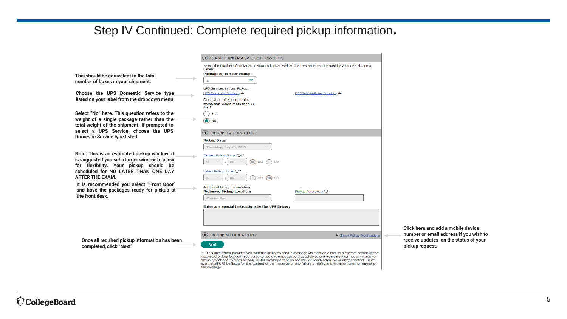### Step IV Continued: Complete required pickup information.

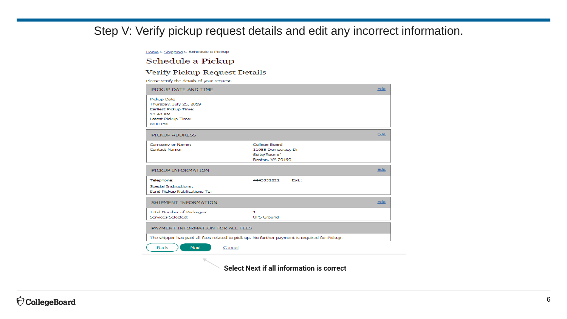## Step V: Verify pickup request details and edit any incorrect information.

Home > Shipping > Schedule a Pickup

#### Schedule a Pickup

#### Verify Pickup Request Details

Please verify the details of your request.

| PICKUP DATE AND TIME                                                                                                  |                                                                        | Edit |
|-----------------------------------------------------------------------------------------------------------------------|------------------------------------------------------------------------|------|
| Pickup Date:<br>Thursday, July 25, 2019<br><b>Earliest Pickup Time:</b><br>10:40 AM<br>Latest Pickup Time:<br>8:00 PM |                                                                        |      |
| <b>PICKUP ADDRESS</b>                                                                                                 |                                                                        | Edit |
| Company or Name:<br><b>Contact Name:</b>                                                                              | College Board<br>11955 Democracy Dr<br>Suite/Room:<br>Reston, VA 20190 |      |
| PICKUP INFORMATION                                                                                                    |                                                                        | Edit |
| Telephone:<br><b>Special Instructions:</b><br>Send Pickup Notifications To:                                           | 4443332222<br>Fxt.:                                                    |      |
| SHIPMENT INFORMATION                                                                                                  |                                                                        | Edit |
| <b>Total Number of Packages:</b><br>Services Selected:                                                                | 1<br><b>UPS Ground</b>                                                 |      |
| PAYMENT INFORMATION FOR ALL FEES                                                                                      |                                                                        |      |
| The shipper has paid all fees related to pick up. No further payment is required for Pickup.                          |                                                                        |      |
| <b>Back</b><br><b>Next</b>                                                                                            | Cancel                                                                 |      |
| $\overline{a}$                                                                                                        |                                                                        |      |

**Select Next if all information is correct**